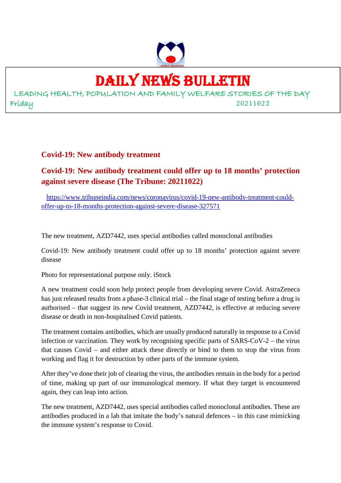

# DAILY NEWS BULLETIN

LEADING HEALTH, POPULATION AND FAMILY WELFARE STORIES OF THE DAY Friday 20211022

#### **Covid-19: New antibody treatment**

# **Covid-19: New antibody treatment could offer up to 18 months' protection against severe disease (The Tribune: 20211022)**

https://www.tribuneindia.com/news/coronavirus/covid-19-new-antibody-treatment-couldoffer-up-to-18-months-protection-against-severe-disease-327571

The new treatment, AZD7442, uses special antibodies called monoclonal antibodies

Covid-19: New antibody treatment could offer up to 18 months' protection against severe disease

Photo for representational purpose only. iStock

A new treatment could soon help protect people from developing severe Covid. AstraZeneca has just released results from a phase-3 clinical trial – the final stage of testing before a drug is authorised – that suggest its new Covid treatment, AZD7442, is effective at reducing severe disease or death in non-hospitalised Covid patients.

The treatment contains antibodies, which are usually produced naturally in response to a Covid infection or vaccination. They work by recognising specific parts of SARS-CoV-2 – the virus that causes Covid – and either attack these directly or bind to them to stop the virus from working and flag it for destruction by other parts of the immune system.

After they've done their job of clearing the virus, the antibodies remain in the body for a period of time, making up part of our immunological memory. If what they target is encountered again, they can leap into action.

The new treatment, AZD7442, uses special antibodies called monoclonal antibodies. These are antibodies produced in a lab that imitate the body's natural defences – in this case mimicking the immune system's response to Covid.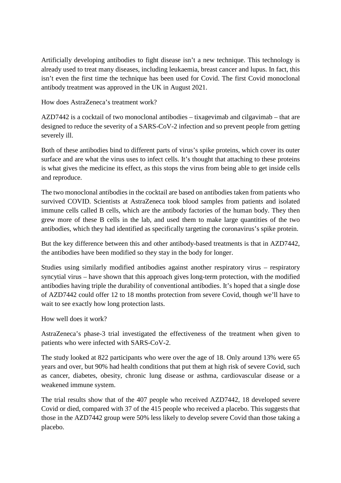Artificially developing antibodies to fight disease isn't a new technique. This technology is already used to treat many diseases, including leukaemia, breast cancer and lupus. In fact, this isn't even the first time the technique has been used for Covid. The first Covid monoclonal antibody treatment was approved in the UK in August 2021.

How does AstraZeneca's treatment work?

AZD7442 is a cocktail of two monoclonal antibodies – tixagevimab and cilgavimab – that are designed to reduce the severity of a SARS-CoV-2 infection and so prevent people from getting severely ill.

Both of these antibodies bind to different parts of virus's spike proteins, which cover its outer surface and are what the virus uses to infect cells. It's thought that attaching to these proteins is what gives the medicine its effect, as this stops the virus from being able to get inside cells and reproduce.

The two monoclonal antibodies in the cocktail are based on antibodies taken from patients who survived COVID. Scientists at AstraZeneca took blood samples from patients and isolated immune cells called B cells, which are the antibody factories of the human body. They then grew more of these B cells in the lab, and used them to make large quantities of the two antibodies, which they had identified as specifically targeting the coronavirus's spike protein.

But the key difference between this and other antibody-based treatments is that in AZD7442, the antibodies have been modified so they stay in the body for longer.

Studies using similarly modified antibodies against another respiratory virus – respiratory syncytial virus – have shown that this approach gives long-term protection, with the modified antibodies having triple the durability of conventional antibodies. It's hoped that a single dose of AZD7442 could offer 12 to 18 months protection from severe Covid, though we'll have to wait to see exactly how long protection lasts.

How well does it work?

AstraZeneca's phase-3 trial investigated the effectiveness of the treatment when given to patients who were infected with SARS-CoV-2.

The study looked at 822 participants who were over the age of 18. Only around 13% were 65 years and over, but 90% had health conditions that put them at high risk of severe Covid, such as cancer, diabetes, obesity, chronic lung disease or asthma, cardiovascular disease or a weakened immune system.

The trial results show that of the 407 people who received AZD7442, 18 developed severe Covid or died, compared with 37 of the 415 people who received a placebo. This suggests that those in the AZD7442 group were 50% less likely to develop severe Covid than those taking a placebo.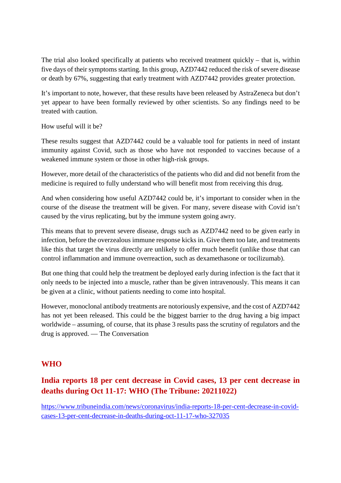The trial also looked specifically at patients who received treatment quickly – that is, within five days of their symptoms starting. In this group, AZD7442 reduced the risk of severe disease or death by 67%, suggesting that early treatment with AZD7442 provides greater protection.

It's important to note, however, that these results have been released by AstraZeneca but don't yet appear to have been formally reviewed by other scientists. So any findings need to be treated with caution.

How useful will it be?

These results suggest that AZD7442 could be a valuable tool for patients in need of instant immunity against Covid, such as those who have not responded to vaccines because of a weakened immune system or those in other high-risk groups.

However, more detail of the characteristics of the patients who did and did not benefit from the medicine is required to fully understand who will benefit most from receiving this drug.

And when considering how useful AZD7442 could be, it's important to consider when in the course of the disease the treatment will be given. For many, severe disease with Covid isn't caused by the virus replicating, but by the immune system going awry.

This means that to prevent severe disease, drugs such as AZD7442 need to be given early in infection, before the overzealous immune response kicks in. Give them too late, and treatments like this that target the virus directly are unlikely to offer much benefit (unlike those that can control inflammation and immune overreaction, such as dexamethasone or tocilizumab).

But one thing that could help the treatment be deployed early during infection is the fact that it only needs to be injected into a muscle, rather than be given intravenously. This means it can be given at a clinic, without patients needing to come into hospital.

However, monoclonal antibody treatments are notoriously expensive, and the cost of AZD7442 has not yet been released. This could be the biggest barrier to the drug having a big impact worldwide – assuming, of course, that its phase 3 results pass the scrutiny of regulators and the drug is approved. — The Conversation

#### **WHO**

# **India reports 18 per cent decrease in Covid cases, 13 per cent decrease in deaths during Oct 11-17: WHO (The Tribune: 20211022)**

https://www.tribuneindia.com/news/coronavirus/india-reports-18-per-cent-decrease-in-covidcases-13-per-cent-decrease-in-deaths-during-oct-11-17-who-327035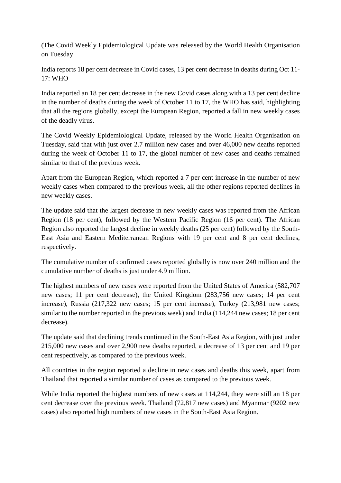(The Covid Weekly Epidemiological Update was released by the World Health Organisation on Tuesday

India reports 18 per cent decrease in Covid cases, 13 per cent decrease in deaths during Oct 11- 17: WHO

India reported an 18 per cent decrease in the new Covid cases along with a 13 per cent decline in the number of deaths during the week of October 11 to 17, the WHO has said, highlighting that all the regions globally, except the European Region, reported a fall in new weekly cases of the deadly virus.

The Covid Weekly Epidemiological Update, released by the World Health Organisation on Tuesday, said that with just over 2.7 million new cases and over 46,000 new deaths reported during the week of October 11 to 17, the global number of new cases and deaths remained similar to that of the previous week.

Apart from the European Region, which reported a 7 per cent increase in the number of new weekly cases when compared to the previous week, all the other regions reported declines in new weekly cases.

The update said that the largest decrease in new weekly cases was reported from the African Region (18 per cent), followed by the Western Pacific Region (16 per cent). The African Region also reported the largest decline in weekly deaths (25 per cent) followed by the South-East Asia and Eastern Mediterranean Regions with 19 per cent and 8 per cent declines, respectively.

The cumulative number of confirmed cases reported globally is now over 240 million and the cumulative number of deaths is just under 4.9 million.

The highest numbers of new cases were reported from the United States of America (582,707 new cases; 11 per cent decrease), the United Kingdom (283,756 new cases; 14 per cent increase), Russia (217,322 new cases; 15 per cent increase), Turkey (213,981 new cases; similar to the number reported in the previous week) and India (114,244 new cases; 18 per cent decrease).

The update said that declining trends continued in the South-East Asia Region, with just under 215,000 new cases and over 2,900 new deaths reported, a decrease of 13 per cent and 19 per cent respectively, as compared to the previous week.

All countries in the region reported a decline in new cases and deaths this week, apart from Thailand that reported a similar number of cases as compared to the previous week.

While India reported the highest numbers of new cases at 114,244, they were still an 18 per cent decrease over the previous week. Thailand (72,817 new cases) and Myanmar (9202 new cases) also reported high numbers of new cases in the South-East Asia Region.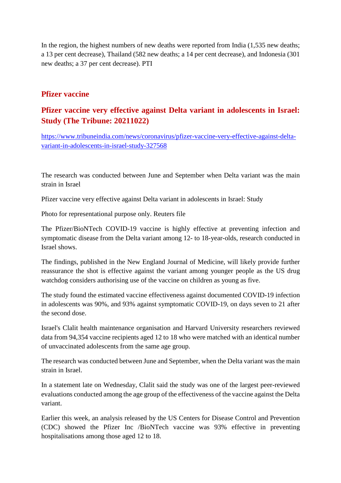In the region, the highest numbers of new deaths were reported from India (1,535 new deaths; a 13 per cent decrease), Thailand (582 new deaths; a 14 per cent decrease), and Indonesia (301 new deaths; a 37 per cent decrease). PTI

#### **Pfizer vaccine**

#### **Pfizer vaccine very effective against Delta variant in adolescents in Israel: Study (The Tribune: 20211022)**

https://www.tribuneindia.com/news/coronavirus/pfizer-vaccine-very-effective-against-deltavariant-in-adolescents-in-israel-study-327568

The research was conducted between June and September when Delta variant was the main strain in Israel

Pfizer vaccine very effective against Delta variant in adolescents in Israel: Study

Photo for representational purpose only. Reuters file

The Pfizer/BioNTech COVID-19 vaccine is highly effective at preventing infection and symptomatic disease from the Delta variant among 12- to 18-year-olds, research conducted in Israel shows.

The findings, published in the New England Journal of Medicine, will likely provide further reassurance the shot is effective against the variant among younger people as the US drug watchdog considers authorising use of the vaccine on children as young as five.

The study found the estimated vaccine effectiveness against documented COVID-19 infection in adolescents was 90%, and 93% against symptomatic COVID-19, on days seven to 21 after the second dose.

Israel's Clalit health maintenance organisation and Harvard University researchers reviewed data from 94,354 vaccine recipients aged 12 to 18 who were matched with an identical number of unvaccinated adolescents from the same age group.

The research was conducted between June and September, when the Delta variant was the main strain in Israel.

In a statement late on Wednesday, Clalit said the study was one of the largest peer-reviewed evaluations conducted among the age group of the effectiveness of the vaccine against the Delta variant.

Earlier this week, an analysis released by the US Centers for Disease Control and Prevention (CDC) showed the Pfizer Inc /BioNTech vaccine was 93% effective in preventing hospitalisations among those aged 12 to 18.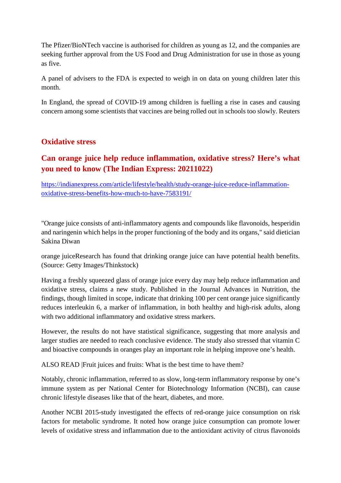The Pfizer/BioNTech vaccine is authorised for children as young as 12, and the companies are seeking further approval from the US Food and Drug Administration for use in those as young as five.

A panel of advisers to the FDA is expected to weigh in on data on young children later this month.

In England, the spread of COVID-19 among children is fuelling a rise in cases and causing concern among some scientists that vaccines are being rolled out in schools too slowly. Reuters

#### **Oxidative stress**

# **Can orange juice help reduce inflammation, oxidative stress? Here's what you need to know (The Indian Express: 20211022)**

https://indianexpress.com/article/lifestyle/health/study-orange-juice-reduce-inflammationoxidative-stress-benefits-how-much-to-have-7583191/

"Orange juice consists of anti-inflammatory agents and compounds like flavonoids, hesperidin and naringenin which helps in the proper functioning of the body and its organs," said dietician Sakina Diwan

orange juiceResearch has found that drinking orange juice can have potential health benefits. (Source: Getty Images/Thinkstock)

Having a freshly squeezed glass of orange juice every day may help reduce inflammation and oxidative stress, claims a new study. Published in the Journal Advances in Nutrition, the findings, though limited in scope, indicate that drinking 100 per cent orange juice significantly reduces interleukin 6, a marker of inflammation, in both healthy and high-risk adults, along with two additional inflammatory and oxidative stress markers.

However, the results do not have statistical significance, suggesting that more analysis and larger studies are needed to reach conclusive evidence. The study also stressed that vitamin C and bioactive compounds in oranges play an important role in helping improve one's health.

ALSO READ |Fruit juices and fruits: What is the best time to have them?

Notably, chronic inflammation, referred to as slow, long-term inflammatory response by one's immune system as per National Center for Biotechnology Information (NCBI), can cause chronic lifestyle diseases like that of the heart, diabetes, and more.

Another NCBI 2015-study investigated the effects of red-orange juice consumption on risk factors for metabolic syndrome. It noted how orange juice consumption can promote lower levels of oxidative stress and inflammation due to the antioxidant activity of citrus flavonoids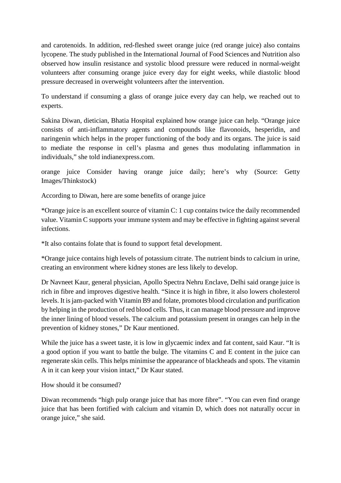and carotenoids. In addition, red-fleshed sweet orange juice (red orange juice) also contains lycopene. The study published in the International Journal of Food Sciences and Nutrition also observed how insulin resistance and systolic blood pressure were reduced in normal-weight volunteers after consuming orange juice every day for eight weeks, while diastolic blood pressure decreased in overweight volunteers after the intervention.

To understand if consuming a glass of orange juice every day can help, we reached out to experts.

Sakina Diwan, dietician, Bhatia Hospital explained how orange juice can help. "Orange juice consists of anti-inflammatory agents and compounds like flavonoids, hesperidin, and naringenin which helps in the proper functioning of the body and its organs. The juice is said to mediate the response in cell's plasma and genes thus modulating inflammation in individuals," she told indianexpress.com.

orange juice Consider having orange juice daily; here's why (Source: Getty Images/Thinkstock)

According to Diwan, here are some benefits of orange juice

\*Orange juice is an excellent source of vitamin C: 1 cup contains twice the daily recommended value. Vitamin C supports your immune system and may be effective in fighting against several infections.

\*It also contains folate that is found to support fetal development.

\*Orange juice contains high levels of potassium citrate. The nutrient binds to calcium in urine, creating an environment where kidney stones are less likely to develop.

Dr Navneet Kaur, general physician, Apollo Spectra Nehru Enclave, Delhi said orange juice is rich in fibre and improves digestive health. "Since it is high in fibre, it also lowers cholesterol levels. It is jam-packed with Vitamin B9 and folate, promotes blood circulation and purification by helping in the production of red blood cells. Thus, it can manage blood pressure and improve the inner lining of blood vessels. The calcium and potassium present in oranges can help in the prevention of kidney stones," Dr Kaur mentioned.

While the juice has a sweet taste, it is low in glycaemic index and fat content, said Kaur. "It is a good option if you want to battle the bulge. The vitamins C and E content in the juice can regenerate skin cells. This helps minimise the appearance of blackheads and spots. The vitamin A in it can keep your vision intact," Dr Kaur stated.

How should it be consumed?

Diwan recommends "high pulp orange juice that has more fibre". "You can even find orange juice that has been fortified with calcium and vitamin D, which does not naturally occur in orange juice," she said.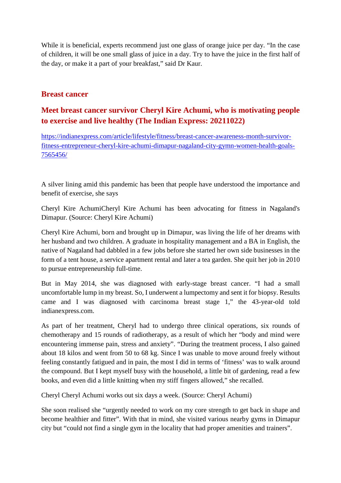While it is beneficial, experts recommend just one glass of orange juice per day. "In the case of children, it will be one small glass of juice in a day. Try to have the juice in the first half of the day, or make it a part of your breakfast," said Dr Kaur.

#### **Breast cancer**

#### **Meet breast cancer survivor Cheryl Kire Achumi, who is motivating people to exercise and live healthy (The Indian Express: 20211022)**

https://indianexpress.com/article/lifestyle/fitness/breast-cancer-awareness-month-survivorfitness-entrepreneur-cheryl-kire-achumi-dimapur-nagaland-city-gymn-women-health-goals-7565456/

A silver lining amid this pandemic has been that people have understood the importance and benefit of exercise, she says

Cheryl Kire AchumiCheryl Kire Achumi has been advocating for fitness in Nagaland's Dimapur. (Source: Cheryl Kire Achumi)

Cheryl Kire Achumi, born and brought up in Dimapur, was living the life of her dreams with her husband and two children. A graduate in hospitality management and a BA in English, the native of Nagaland had dabbled in a few jobs before she started her own side businesses in the form of a tent house, a service apartment rental and later a tea garden. She quit her job in 2010 to pursue entrepreneurship full-time.

But in May 2014, she was diagnosed with early-stage breast cancer. "I had a small uncomfortable lump in my breast. So, I underwent a lumpectomy and sent it for biopsy. Results came and I was diagnosed with carcinoma breast stage 1," the 43-year-old told indianexpress.com.

As part of her treatment, Cheryl had to undergo three clinical operations, six rounds of chemotherapy and 15 rounds of radiotherapy, as a result of which her "body and mind were encountering immense pain, stress and anxiety". "During the treatment process, I also gained about 18 kilos and went from 50 to 68 kg. Since I was unable to move around freely without feeling constantly fatigued and in pain, the most I did in terms of 'fitness' was to walk around the compound. But I kept myself busy with the household, a little bit of gardening, read a few books, and even did a little knitting when my stiff fingers allowed," she recalled.

Cheryl Cheryl Achumi works out six days a week. (Source: Cheryl Achumi)

She soon realised she "urgently needed to work on my core strength to get back in shape and become healthier and fitter". With that in mind, she visited various nearby gyms in Dimapur city but "could not find a single gym in the locality that had proper amenities and trainers".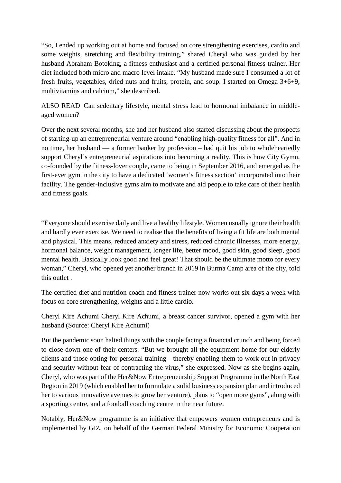"So, I ended up working out at home and focused on core strengthening exercises, cardio and some weights, stretching and flexibility training," shared Cheryl who was guided by her husband Abraham Botoking, a fitness enthusiast and a certified personal fitness trainer. Her diet included both micro and macro level intake. "My husband made sure I consumed a lot of fresh fruits, vegetables, dried nuts and fruits, protein, and soup. I started on Omega 3+6+9, multivitamins and calcium," she described.

ALSO READ |Can sedentary lifestyle, mental stress lead to hormonal imbalance in middleaged women?

Over the next several months, she and her husband also started discussing about the prospects of starting-up an entrepreneurial venture around "enabling high-quality fitness for all". And in no time, her husband — a former banker by profession – had quit his job to wholeheartedly support Cheryl's entrepreneurial aspirations into becoming a reality. This is how City Gymn, co-founded by the fitness-lover couple, came to being in September 2016, and emerged as the first-ever gym in the city to have a dedicated 'women's fitness section' incorporated into their facility. The gender-inclusive gyms aim to motivate and aid people to take care of their health and fitness goals.

"Everyone should exercise daily and live a healthy lifestyle. Women usually ignore their health and hardly ever exercise. We need to realise that the benefits of living a fit life are both mental and physical. This means, reduced anxiety and stress, reduced chronic illnesses, more energy, hormonal balance, weight management, longer life, better mood, good skin, good sleep, good mental health. Basically look good and feel great! That should be the ultimate motto for every woman," Cheryl, who opened yet another branch in 2019 in Burma Camp area of the city, told this outlet .

The certified diet and nutrition coach and fitness trainer now works out six days a week with focus on core strengthening, weights and a little cardio.

Cheryl Kire Achumi Cheryl Kire Achumi, a breast cancer survivor, opened a gym with her husband (Source: Cheryl Kire Achumi)

But the pandemic soon halted things with the couple facing a financial crunch and being forced to close down one of their centers. "But we brought all the equipment home for our elderly clients and those opting for personal training—thereby enabling them to work out in privacy and security without fear of contracting the virus," she expressed. Now as she begins again, Cheryl, who was part of the Her&Now Entrepreneurship Support Programme in the North East Region in 2019 (which enabled her to formulate a solid business expansion plan and introduced her to various innovative avenues to grow her venture), plans to "open more gyms", along with a sporting centre, and a football coaching centre in the near future.

Notably, Her&Now programme is an initiative that empowers women entrepreneurs and is implemented by GIZ, on behalf of the German Federal Ministry for Economic Cooperation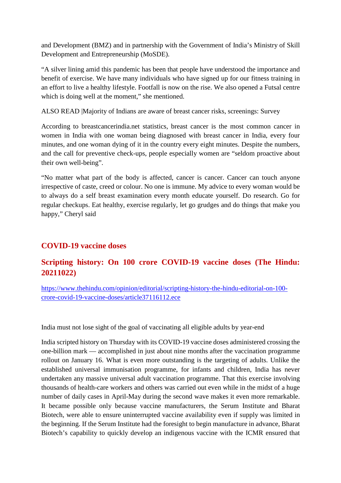and Development (BMZ) and in partnership with the Government of India's Ministry of Skill Development and Entrepreneurship (MoSDE).

"A silver lining amid this pandemic has been that people have understood the importance and benefit of exercise. We have many individuals who have signed up for our fitness training in an effort to live a healthy lifestyle. Footfall is now on the rise. We also opened a Futsal centre which is doing well at the moment," she mentioned.

ALSO READ |Majority of Indians are aware of breast cancer risks, screenings: Survey

According to breastcancerindia.net statistics, breast cancer is the most common cancer in women in India with one woman being diagnosed with breast cancer in India, every four minutes, and one woman dying of it in the country every eight minutes. Despite the numbers, and the call for preventive check-ups, people especially women are "seldom proactive about their own well-being".

"No matter what part of the body is affected, cancer is cancer. Cancer can touch anyone irrespective of caste, creed or colour. No one is immune. My advice to every woman would be to always do a self breast examination every month educate yourself. Do research. Go for regular checkups. Eat healthy, exercise regularly, let go grudges and do things that make you happy," Cheryl said

#### **COVID-19 vaccine doses**

#### **Scripting history: On 100 crore COVID-19 vaccine doses (The Hindu: 20211022)**

https://www.thehindu.com/opinion/editorial/scripting-history-the-hindu-editorial-on-100 crore-covid-19-vaccine-doses/article37116112.ece

India must not lose sight of the goal of vaccinating all eligible adults by year-end

India scripted history on Thursday with its COVID-19 vaccine doses administered crossing the one-billion mark — accomplished in just about nine months after the vaccination programme rollout on January 16. What is even more outstanding is the targeting of adults. Unlike the established universal immunisation programme, for infants and children, India has never undertaken any massive universal adult vaccination programme. That this exercise involving thousands of health-care workers and others was carried out even while in the midst of a huge number of daily cases in April-May during the second wave makes it even more remarkable. It became possible only because vaccine manufacturers, the Serum Institute and Bharat Biotech, were able to ensure uninterrupted vaccine availability even if supply was limited in the beginning. If the Serum Institute had the foresight to begin manufacture in advance, Bharat Biotech's capability to quickly develop an indigenous vaccine with the ICMR ensured that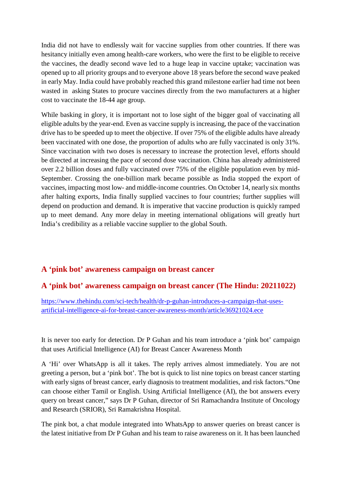India did not have to endlessly wait for vaccine supplies from other countries. If there was hesitancy initially even among health-care workers, who were the first to be eligible to receive the vaccines, the deadly second wave led to a huge leap in vaccine uptake; vaccination was opened up to all priority groups and to everyone above 18 years before the second wave peaked in early May. India could have probably reached this grand milestone earlier had time not been wasted in asking States to procure vaccines directly from the two manufacturers at a higher cost to vaccinate the 18-44 age group.

While basking in glory, it is important not to lose sight of the bigger goal of vaccinating all eligible adults by the year-end. Even as vaccine supply is increasing, the pace of the vaccination drive has to be speeded up to meet the objective. If over 75% of the eligible adults have already been vaccinated with one dose, the proportion of adults who are fully vaccinated is only 31%. Since vaccination with two doses is necessary to increase the protection level, efforts should be directed at increasing the pace of second dose vaccination. China has already administered over 2.2 billion doses and fully vaccinated over 75% of the eligible population even by mid-September. Crossing the one-billion mark became possible as India stopped the export of vaccines, impacting most low- and middle-income countries. On October 14, nearly six months after halting exports, India finally supplied vaccines to four countries; further supplies will depend on production and demand. It is imperative that vaccine production is quickly ramped up to meet demand. Any more delay in meeting international obligations will greatly hurt India's credibility as a reliable vaccine supplier to the global South.

#### **A 'pink bot' awareness campaign on breast cancer**

#### **A 'pink bot' awareness campaign on breast cancer (The Hindu: 20211022)**

https://www.thehindu.com/sci-tech/health/dr-p-guhan-introduces-a-campaign-that-usesartificial-intelligence-ai-for-breast-cancer-awareness-month/article36921024.ece

It is never too early for detection. Dr P Guhan and his team introduce a 'pink bot' campaign that uses Artificial Intelligence (AI) for Breast Cancer Awareness Month

A 'Hi' over WhatsApp is all it takes. The reply arrives almost immediately. You are not greeting a person, but a 'pink bot'. The bot is quick to list nine topics on breast cancer starting with early signs of breast cancer, early diagnosis to treatment modalities, and risk factors."One can choose either Tamil or English. Using Artificial Intelligence (AI), the bot answers every query on breast cancer," says Dr P Guhan, director of Sri Ramachandra Institute of Oncology and Research (SRIOR), Sri Ramakrishna Hospital.

The pink bot, a chat module integrated into WhatsApp to answer queries on breast cancer is the latest initiative from Dr P Guhan and his team to raise awareness on it. It has been launched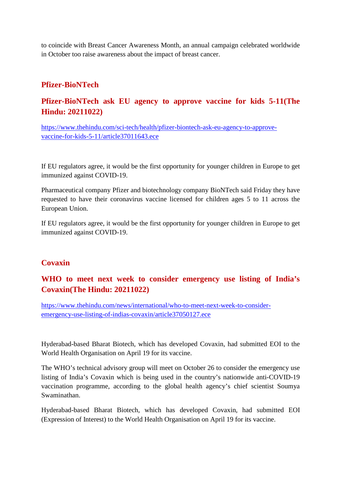to coincide with Breast Cancer Awareness Month, an annual campaign celebrated worldwide in October too raise awareness about the impact of breast cancer.

#### **Pfizer-BioNTech**

# **Pfizer-BioNTech ask EU agency to approve vaccine for kids 5-11(The Hindu: 20211022)**

https://www.thehindu.com/sci-tech/health/pfizer-biontech-ask-eu-agency-to-approvevaccine-for-kids-5-11/article37011643.ece

If EU regulators agree, it would be the first opportunity for younger children in Europe to get immunized against COVID-19.

Pharmaceutical company Pfizer and biotechnology company BioNTech said Friday they have requested to have their coronavirus vaccine licensed for children ages 5 to 11 across the European Union.

If EU regulators agree, it would be the first opportunity for younger children in Europe to get immunized against COVID-19.

#### **Covaxin**

# **WHO to meet next week to consider emergency use listing of India's Covaxin(The Hindu: 20211022)**

https://www.thehindu.com/news/international/who-to-meet-next-week-to-consideremergency-use-listing-of-indias-covaxin/article37050127.ece

Hyderabad-based Bharat Biotech, which has developed Covaxin, had submitted EOI to the World Health Organisation on April 19 for its vaccine.

The WHO's technical advisory group will meet on October 26 to consider the emergency use listing of India's Covaxin which is being used in the country's nationwide anti-COVID-19 vaccination programme, according to the global health agency's chief scientist Soumya Swaminathan.

Hyderabad-based Bharat Biotech, which has developed Covaxin, had submitted EOI (Expression of Interest) to the World Health Organisation on April 19 for its vaccine.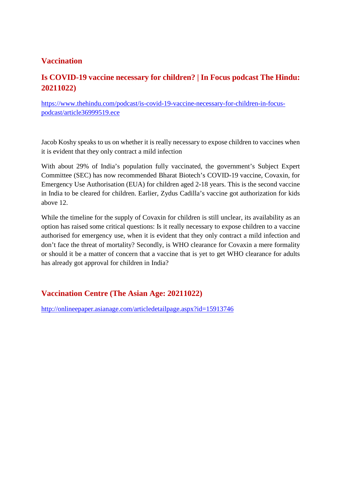#### **Vaccination**

# **Is COVID-19 vaccine necessary for children? | In Focus podcast The Hindu: 20211022)**

https://www.thehindu.com/podcast/is-covid-19-vaccine-necessary-for-children-in-focuspodcast/article36999519.ece

Jacob Koshy speaks to us on whether it is really necessary to expose children to vaccines when it is evident that they only contract a mild infection

With about 29% of India's population fully vaccinated, the government's Subject Expert Committee (SEC) has now recommended Bharat Biotech's COVID-19 vaccine, Covaxin, for Emergency Use Authorisation (EUA) for children aged 2-18 years. This is the second vaccine in India to be cleared for children. Earlier, Zydus Cadilla's vaccine got authorization for kids above 12.

While the timeline for the supply of Covaxin for children is still unclear, its availability as an option has raised some critical questions: Is it really necessary to expose children to a vaccine authorised for emergency use, when it is evident that they only contract a mild infection and don't face the threat of mortality? Secondly, is WHO clearance for Covaxin a mere formality or should it be a matter of concern that a vaccine that is yet to get WHO clearance for adults has already got approval for children in India?

# **Vaccination Centre (The Asian Age: 20211022)**

http://onlineepaper.asianage.com/articledetailpage.aspx?id=15913746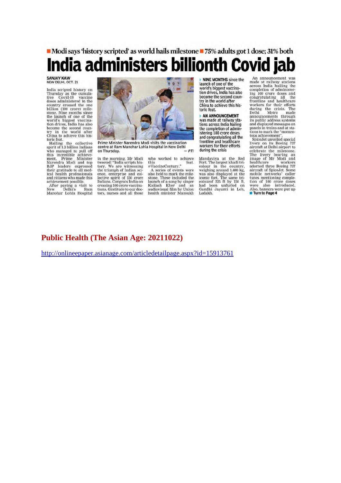# • Modi says 'history scripted' as world hails milestone • 75% adults got 1 dose; 31% both India administers billionth Covid jab

#### **SANJAY KAW**<br>NEW DELHI, OCT. 21

India scripted history on<br>Thursday as the cumula-<br>tive Covid-19 vaccine tive Covid-19 vaccine<br>doses administered in the country crossed the one<br>billion (100 crore) mile-<br>stone. Nine months since<br>the launch of one of the<br>world's biggest vaccina-<br>tion drives, India has also become the second coun-<br>try in the world after<br>China to achieve this his-

crima to achieve this ins-<br>toric feat.<br>Hailing the collective<br>spirit of 1.3 billion Indians spirit of 1.3 billion indians<br>who managed to pull off<br>this incredible achieve-<br>ment, Prime Minister<br>Narendra Modi and top<br>IP IP BJP leaders expressed<br>their gratitude to all medical health professionals Earl Heath protessionals<br>and citizens who made this<br>achievement possible.<br>After paying a visit to<br>New Delhi's Ram

New Delhi's Ram<br>Manohar Lohia Hospital



Prime Minister Narendra Modi visits the vaccination<br>centre at Ram Manohar Lohia Hospital in New Delhi DTI on Thursday.

in the morning, Mr Modi<br>tweeted: "India scripts his-<br>tory. We are witnessing<br>the triumph of Indian sci-<br>ence, enterprise and col-<br>lective spirit of 130 crore<br>crissing 100 crore vaccina. crossing 100 crore vaccinations. Gratitude to our doc-<br>tors, nurses and all those

who worked to achieve this feat.

#VaccineCentury." A series of events were<br>also held to mark the mileassoned to mark the music<br>stone. These included the<br>launch of a song by singer<br>Kailash Kher and an<br>audiovisual film by Union<br>health minister Mansukh

**NINE MONTHS** since the launch of one of the world's biggest vaccination drives, India has also<br>become the second country in the world after<br>China to achieve this historic feat.

**AN ANNOUNCEMENT** was made at railway sta-<br>tions across India hailing the completion of administering 100 crore doses<br>and congratulating all the frontline and healthcare workers for their efforts during the crisis

Mandaviya at the Red<br>Fort. The largest khadi tri-<br>colour in the country, weighing around 1,400 kg,<br>was also displayed at the<br>iconic fort. The same tri-<br>colourof 225 ft by 150 ft,<br>had been unfurled on<br>Gandhi Jayanti in Leh,

An announcement was made at railway stations<br>across India hailing the across India natural<br>completion of administering all the congradualing all the<br>frontline and healthcare<br>frontline and healthcare<br>workers for their efforts<br>during the crisis. The<br>Delhi Metro made<br>announcements through its public address systems<br>and displayed messages on panels in trains and at sta-<br>tions to mark the "momen-<br>tous achievement",

tous achievement".<br>
SpiceJet unveiled special<br>
livery on its Boeing 737<br>
aircraft at Delhi airport to<br>
celebrate the milestone.<br>
The livery bearing an<br>
image of Mr Modi and<br>
healthcare<br>
adorned three Boeing 737<br>
adorned th adorned three boeing for<br>aircraft of SpiceJet. Some<br>mobile networks' caller<br>tunes mentioning comple-<br>tion of 100 crore doses<br>were also introduced. Also, banners were put up

#### **Public Health (The Asian Age: 20211022)**

http://onlineepaper.asianage.com/articledetailpage.aspx?id=15913761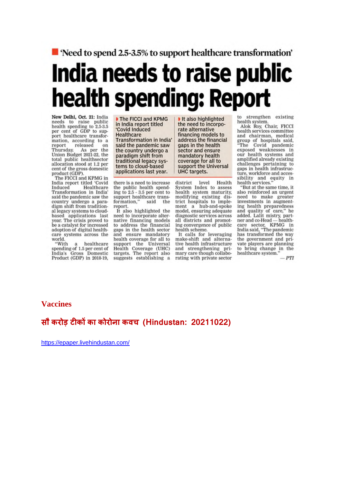# ■ 'Need to spend 2.5-3.5% to support healthcare transformation' India needs to raise public health spending: Report

New Delhi, Oct. 21: India<br>needs to raise public<br>health spending to 2.5-3.5<br>per cent of GDP to support healthcare transformation, according to a report released on<br>Thursday. As per the<br>Union Budget 2021-22, the total public healthsector allocation stood at 1.2 per cent of the gross domestic product (GDP).

The FICCI and KPMG in India report titled 'Covid India report theore covid<br>Induced Healthcare<br>Transformation in India said the pandemic saw the country undergo a paradigm shift from traditional legacy systems to cloudbased applications last<br>year. The crisis proved to be a catalyst for increased adoption of digital healthcare systems across the<br>world.<br>"With a healthcare

spending of 1.5 per cent of<br>India's Gross Domestic<br>Product (GDP) in 2018-19,

The FICCI and KPMG in India report titled Covid Induced Healthcare **Transformation in India'** said the pandemic saw the country undergo a paradigm shift from traditional legacy systems to cloud-based applications last year.

there is a need to increase the public health spend-<br>ing to 2.5 - 3.5 per cent to support healthcare transformation," said the report.

It also highlighted the need to incorporate alternative financing models to address the financial gaps in the health sector and ensure mandatory and ensure manuatory<br>support the Universal<br>Health Coverage (UHC)<br>targets. The report also suggests establishing a

the need to incorporate alternative financing models to address the financial gaps in the health sector and ensure mandatory health coverage for all to support the Universal UHC targets. level Health district

It also highlighted

System Index to assess<br>health system maturity, modifying existing dis-<br>trict hospitals to implement a hub-and-spoke<br>model, ensuring adequate diagnostic services across all districts and promoting convergence of public health scheme.

It calls for leveraging<br>make-shift and alternative health infrastructure and strengthening pri-<br>mary care though collaborating with private sector

to strengthen existing

health system.<br>Alok Roy, Chair, FICCI<br>health services committee meand chairman, medical<br>group of hospitals said,<br>"The Covid pandemic<br>exposed weaknesses in our health systems and amplified already existing challenges pertaining to<br>gaps in health infrastructure, workforce and accessibility and equity in<br>health services."

"But at the same time, it also reinforced an urgent need to make greater<br>investments in augmentinvestments in augment-<br>ing health preparedness<br>and quality of care," he<br>added. Lalit mistry, part-<br>ner and co-Head — health-<br>care sector, KPMG in<br>has transformed the way<br>the opvernment and prithe government and private players are planning to bring change in the<br>healthcare system."

 $-PTI$ 

#### **Vaccines**

#### **सौ करोड़ टकका कोरोना कवच (Hindustan: 20211022)**

https://epaper.livehindustan.com/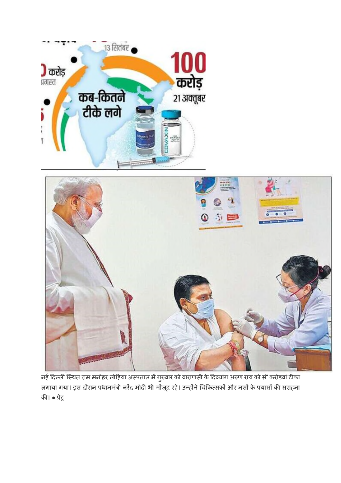



नई दिल्ली स्थित राम मनोहर लोहिया अस्पताल में गुरुवार को वाराणसी के दिव्यांग अरुण राय को सौ करोड़वां टीका लगाया गया। इस दौरान प्रधानमंत्री नरेंद्र मोदी भी मौजूद रहे। उन्होंने चिकित्सकों और नर्सों के प्रयासों की सराहना की। • प्रेट्र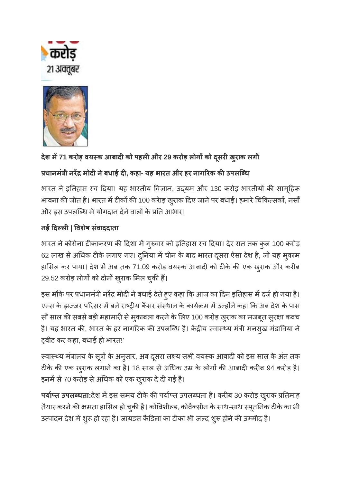



# **देश म71 करोड़ वयक आबादको पहलऔर 29 करोड़ लोगको दसू रखरुाक लगी**

# **धानमंी नर मोदनेबधाई द, कहा- यह भारत और हर नागरक कउपलिध**

भारत ने इतिहास रच दिया। यह भारतीय विज्ञान, उदयम और 130 करोड़ भारतीयों की सामूहिक भावना की जीत है। भारत में टीकों की 100 करेाड़ खुराक दिए जाने पर बधाई। हमारे चिकित्सकों, नर्सों और इस उपलब्धि में योगदान देने वालों के प्रति आभार।

# **नई दल| वशषे संवाददाता**

भारत ने कोरोना टीकाकरण की दिशा में गुरुवार को इतिहास रच दिया। देर रात तक कुल 100 करोड़ 62 लाख से अधिक टीके लगाए गए। दुनिया में चीन के बाद भारत दूसरा ऐसा देश है, जो यह मुकाम हासिल कर पाया। देश में अब तक 71.09 करोड़ वयस्क आबादी को टीके की एक ख़ुराक और करीब 29.52 करोड़ लोगों को दोनों खुराक मिल चुकी हैं।

इस मौके पर प्रधानमंत्री नरेंद्र मोदी ने बधाई देते हुए कहा कि आज का दिन इतिहास में दर्ज हो गया है। एम्स के झज्जर परिसर में बने राष्ट्रीय कैंसर संस्थान के कार्यक्रम में उन्होंने कहा कि अब देश के पास सौ साल की सबसे बड़ी महामारी से मुकाबला करने के लिए 100 करोड़ खुराक का मजबूत सुरक्षा कवच है। यह भारत की, भारत के हर नागरिक की उपलब्धि है। केंद्रीय स्वास्थ्य मंत्री मनसुख मंडाविया ने वीट कर कहा, बधाई हो भारत!'

स्वास्थ्य मंत्रालय के सूत्रों के अनुसार, अब दूसरा लक्ष्य सभी वयस्क आबादी को इस साल के अंत तक टीके की एक ख़ुराक लगाने का है। 18 साल से अधिक उम्र के लोगों की आबादी करीब 94 करोड़ है। इनमें से 70 करोड़ से अधिक को एक ख़्राक दे दी गई है।

पर्याप्त उपलब्धता:देश में इस समय टीके की पर्याप्त उपलब्धता है। करीब 30 करोड़ ख़्राक प्रतिमाह तैयार करने की क्षमता हासिल हो चुकी है। कोविशील्ड, कोवैक्सीन के साथ-साथ स्पूतनिक टीके का भी उत्पादन देश में शुरू हो रहा है। जायडस कैडिला का टीका भी जल्द शुरू होने की उम्मीद है।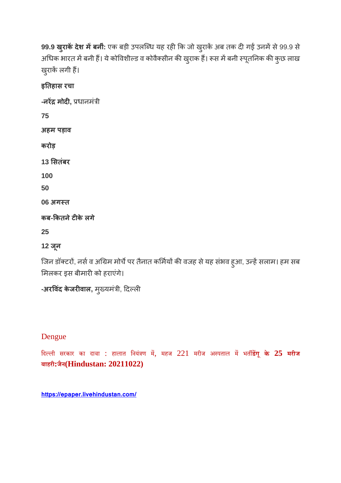**99.9 खुराकें देश में बनीं:** एक बड़ी उपलब्धि यह रही कि जो खुराकें अब तक दी गई उनमें से 99.9 से अधिक भारत में बनी हैं। ये कोविशील्ड व कोवैक्सीन की खुराक हैं। रूस में बनी स्पूतनिक की कुछ लाख खुराकें लगी हैं।

**इतहास रचा**

**-नर मोद,** धानमंी

**75**

**अहम पड़ाव**

**करोड़**

**13 सतंबर**

**100**

**50**

**06 अगत**

**कब-कतनेटके लगे**

**25**

**12 जून**

जिन डॉक्टरों, नर्स व अग्रिम मोर्चे पर तैनात कर्मियों की वजह से यह संभव हुआ, उन्हें सलाम। हम सब मिलकर इस बीमारी को हराएंगे।

**-अरविंद केजरीवाल,** मुख्यमंत्री, दिल्ली

Dengue

िदली सरकार का दावा : हालात िनयंण म, महज 221 मरीज अपताल मभत**डगू के 25 मरीज बाहरी:जैन(Hindustan: 20211022)**

**https://epaper.livehindustan.com/**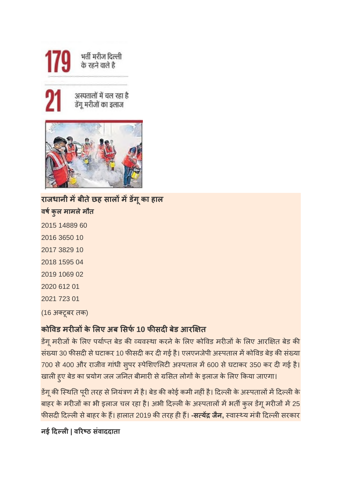

अस्पतालों में चल रहा है डेंगू मरीजों का इलाज



**राजधानी मबीतेछह सालमडग ू का हाल वषकुल मामलेमौत** 2015 14889 60 2016 3650 10 2017 3829 10 2018 1595 04 2019 1069 02 2020 612 01 2021 723 01 (16 अटूबर तक)

# **कोवड मरजके लए अब सफ10 फसदबेड आर त**

डेंगू मरीजों के लिए पर्याप्त बेड की व्यवस्था करने के लिए कोविड मरीजों के लिए आरक्षित बेड की संख्या 30 फीसदी से घटाकर 10 फीसदी कर दी गई है। एलएनजेपी अस्पताल में कोविड बेड़ की संख्या 700 से 400 और राजीव गांधी सुपर स्पेशिएलिटी अस्पताल में 600 से घटाकर 350 कर दी गई है। खाली हुए बेड का प्रयोग जल जनित बीमारी से ग्रसित लोगों के इलाज के लिए किया जाएगा।

डेंगू की स्थिति पूरी तरह से नियंत्रण में है। बेड की कोई कमी नहीं है। दिल्ली के अस्पतालों में दिल्ली के बाहर के मरीजों का भी इलाज चल रहा है। अभी दिल्ली के अस्पतालों में भर्ती कुल डेंगू मरीजों में 25 <mark>फीसदी दिल्ली से बाहर के हैं। हालात 2019 की तरह ही हैं। **-सत्येंद्र जैन,** स्वास्थ्य मंत्री दिल्ली सरकार</mark>

**नई दल| वरठ संवाददाता**